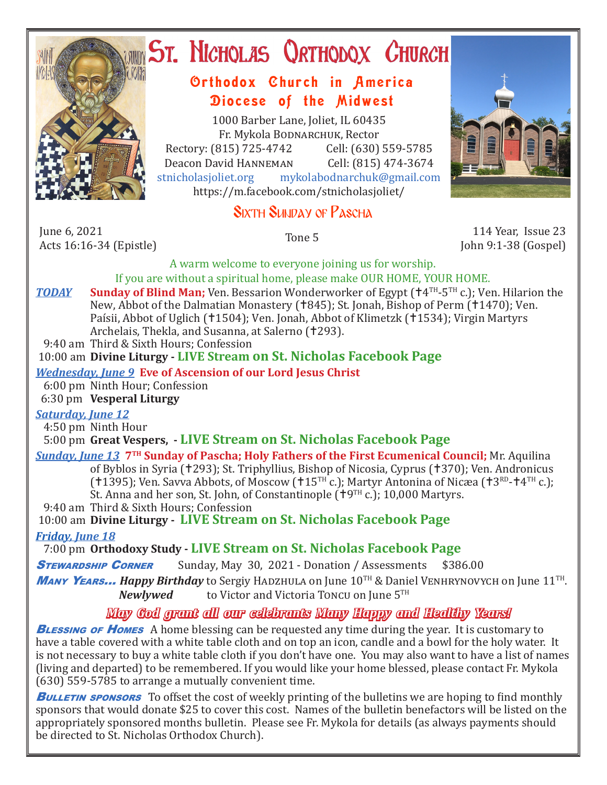

# ST. NICHOLAS QRTHODOX CHURCH

## Orthodox Church in America Diocese of the Midwest

1000 Barber Lane, Joliet, IL 60435 Fr. Mykola Bodnarchuk, Rector Rectory: (815) 725-4742 Cell: (630) 559-5785<br>Deacon David HANNEMAN Cell: (815) 474-3674 Deacon David HANNEMAN<br>stnicholasioliet.org mykola mykolabodnarchuk@gmail.com https://m.facebook.com/stnicholasjoliet/

# SIXTH SUNDAY OF PASCHA

June 6, 2021<br>Acts 16:16-34 (Epistle) Acts 16:16-34 (Epistle) Tone 5 114 Year, Issue 23

John 9:1-38 (Gospel)

A warm welcome to everyone joining us for worship. If you are without a spiritual home, please make OUR HOME, YOUR HOME.

**TODAY** Sunday of Blind Man; Ven. Bessarion Wonderworker of Egypt ( $\uparrow$ 4<sup>TH</sup>-5<sup>TH</sup> c.); Ven. Hilarion the New, Abbot of the Dalmatian Monastery (†845); St. Jonah, Bishop of Perm (†1470); Ven. Paísii, Abbot of Uglich (†1504); Ven. Jonah, Abbot of Klimetzk (†1534); Virgin Martyrs Archelais, Thekla, and Susanna, at Salerno (†293).

9:40 am Third & Sixth Hours; Confession

10:00 am **Divine Liturgy - LIVE Stream on St. Nicholas Facebook Page**

#### *Wednesday, June 9* **Eve of Ascension of our Lord Jesus Christ**

 6:00 pm Ninth Hour; Confession 6:30 pm **Vesperal Liturgy**

#### *Saturday, June 12*

4:50 pm Ninth Hour

5:00 pm **Great Vespers, - LIVE Stream on St. Nicholas Facebook Page**

# *Sunday, June 13* **7<sup>TH</sup> Sunday of Pascha; Holy Fathers of the First Ecumenical Council; Mr. Aquilina**

of Byblos in Syria (†293); St. Triphyllius, Bishop of Nicosia, Cyprus (†370); Ven. Andronicus (†1395); Ven. Savva Abbots, of Moscow (†15<sup>TH</sup> c.); Martyr Antonina of Nicæa (†3<sup>RD</sup>-†4<sup>TH</sup> c.);

St. Anna and her son, St. John, of Constantinople  $(19^{TH} c.)$ ; 10,000 Martyrs.

9:40 am Third & Sixth Hours; Confession

10:00 am **Divine Liturgy - LIVE Stream on St. Nicholas Facebook Page**

*Friday, June 18* 

7:00 pm **Orthodoxy Study - LIVE Stream on St. Nicholas Facebook Page**<br>**STEWARDSHIP CORNER** Sunday. May 30, 2021 - Donation / Assessments \$38

Sunday, May 30, 2021 - Donation / Assessments \$386.00

**Many Years...** *Happy Birthday* to Sergiy Hadzhula on June 10<sup>TH</sup> & Daniel Venhrynovych on June 11<sup>TH</sup>.<br>Newlywed to Victor and Victoria Toncu on June 5<sup>TH</sup> to Victor and Victoria Toncu on June 5TH

### *May God grant all our celebrants Many Happy and Healthy Years!*

**BLESSING OF HOMES** A home blessing can be requested any time during the year. It is customary to have a table covered with a white table cloth and on top an icon, candle and a bowl for the holy water. It is not necessary to buy a white table cloth if you don't have one. You may also want to have a list of names (living and departed) to be remembered. If you would like your home blessed, please contact Fr. Mykola (630) 559-5785 to arrange a mutually convenient time.

**BULLETIN SPONSORS** To offset the cost of weekly printing of the bulletins we are hoping to find monthly sponsors that would donate \$25 to cover this cost. Names of the bulletin benefactors will be listed on the appropriately sponsored months bulletin. Please see Fr. Mykola for details (as always payments should be directed to St. Nicholas Orthodox Church).